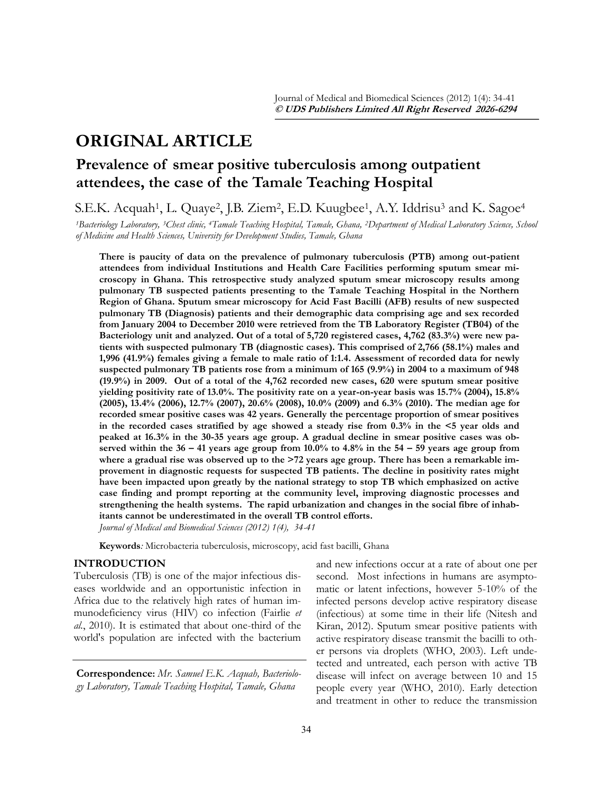# **ORIGINAL ARTICLE**

## **Prevalence of smear positive tuberculosis among outpatient attendees, the case of the Tamale Teaching Hospital**

S.E.K. Acquah<sup>1</sup>, L. Quaye<sup>2</sup>, J.B. Ziem<sup>2</sup>, E.D. Kuugbee<sup>1</sup>, A.Y. Iddrisu<sup>3</sup> and K. Sagoe<sup>4</sup>

*<sup>1</sup>Bacteriology Laboratory, 3Chest clinic, 4Tamale Teaching Hospital, Tamale, Ghana, 2Department of Medical Laboratory Science, School of Medicine and Health Sciences, University for Development Studies, Tamale, Ghana*

**There is paucity of data on the prevalence of pulmonary tuberculosis (PTB) among out-patient attendees from individual Institutions and Health Care Facilities performing sputum smear microscopy in Ghana. This retrospective study analyzed sputum smear microscopy results among pulmonary TB suspected patients presenting to the Tamale Teaching Hospital in the Northern Region of Ghana. Sputum smear microscopy for Acid Fast Bacilli (AFB) results of new suspected pulmonary TB (Diagnosis) patients and their demographic data comprising age and sex recorded from January 2004 to December 2010 were retrieved from the TB Laboratory Register (TB04) of the Bacteriology unit and analyzed. Out of a total of 5,720 registered cases, 4,762 (83.3%) were new patients with suspected pulmonary TB (diagnostic cases). This comprised of 2,766 (58.1%) males and 1,996 (41.9%) females giving a female to male ratio of 1:1.4. Assessment of recorded data for newly suspected pulmonary TB patients rose from a minimum of 165 (9.9%) in 2004 to a maximum of 948 (19.9%) in 2009. Out of a total of the 4,762 recorded new cases, 620 were sputum smear positive yielding positivity rate of 13.0%. The positivity rate on a year-on-year basis was 15.7% (2004), 15.8% (2005), 13.4% (2006), 12.7% (2007), 20.6% (2008), 10.0% (2009) and 6.3% (2010). The median age for recorded smear positive cases was 42 years. Generally the percentage proportion of smear positives in the recorded cases stratified by age showed a steady rise from 0.3% in the <5 year olds and peaked at 16.3% in the 30-35 years age group. A gradual decline in smear positive cases was observed within the 36 – 41 years age group from 10.0% to 4.8% in the 54 – 59 years age group from where a gradual rise was observed up to the >72 years age group. There has been a remarkable improvement in diagnostic requests for suspected TB patients. The decline in positivity rates might have been impacted upon greatly by the national strategy to stop TB which emphasized on active case finding and prompt reporting at the community level, improving diagnostic processes and strengthening the health systems. The rapid urbanization and changes in the social fibre of inhabitants cannot be underestimated in the overall TB control efforts.**  *Journal of Medical and Biomedical Sciences (2012) 1(4), 34-41*

**Keywords***:* Microbacteria tuberculosis, microscopy, acid fast bacilli, Ghana

## **INTRODUCTION**

Tuberculosis (TB) is one of the major infectious diseases worldwide and an opportunistic infection in Africa due to the relatively high rates of human immunodeficiency virus (HIV) co infection (Fairlie *et al.*, 2010). It is estimated that about one-third of the world's population are infected with the bacterium

**Correspondence:** *Mr. Samuel E.K. Acquah, Bacteriology Laboratory, Tamale Teaching Hospital, Tamale, Ghana*

and new infections occur at a rate of about one per second. Most infections in humans are asymptomatic or latent infections, however 5-10% of the infected persons develop active respiratory disease (infectious) at some time in their life (Nitesh and Kiran, 2012). Sputum smear positive patients with active respiratory disease transmit the bacilli to other persons via droplets (WHO, 2003). Left undetected and untreated, each person with active TB disease will infect on average between 10 and 15 people every year (WHO, 2010). Early detection and treatment in other to reduce the transmission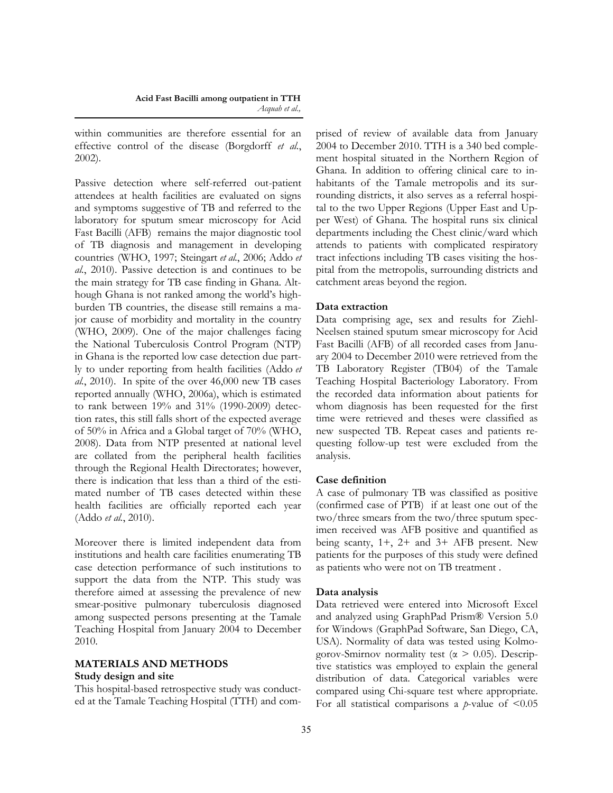within communities are therefore essential for an effective control of the disease (Borgdorff *et al.*, 2002).

Passive detection where self-referred out-patient attendees at health facilities are evaluated on signs and symptoms suggestive of TB and referred to the laboratory for sputum smear microscopy for Acid Fast Bacilli (AFB) remains the major diagnostic tool of TB diagnosis and management in developing countries (WHO, 1997; Steingart *et al.*, 2006; Addo *et al.*, 2010). Passive detection is and continues to be the main strategy for TB case finding in Ghana. Although Ghana is not ranked among the world"s highburden TB countries, the disease still remains a major cause of morbidity and mortality in the country (WHO, 2009). One of the major challenges facing the National Tuberculosis Control Program (NTP) in Ghana is the reported low case detection due partly to under reporting from health facilities (Addo *et al.*, 2010). In spite of the over 46,000 new TB cases reported annually (WHO, 2006a), which is estimated to rank between 19% and 31% (1990-2009) detection rates, this still falls short of the expected average of 50% in Africa and a Global target of 70% (WHO, 2008). Data from NTP presented at national level are collated from the peripheral health facilities through the Regional Health Directorates; however, there is indication that less than a third of the estimated number of TB cases detected within these health facilities are officially reported each year (Addo *et al.*, 2010).

Moreover there is limited independent data from institutions and health care facilities enumerating TB case detection performance of such institutions to support the data from the NTP. This study was therefore aimed at assessing the prevalence of new smear-positive pulmonary tuberculosis diagnosed among suspected persons presenting at the Tamale Teaching Hospital from January 2004 to December 2010.

## **MATERIALS AND METHODS Study design and site**

This hospital-based retrospective study was conducted at the Tamale Teaching Hospital (TTH) and comprised of review of available data from January 2004 to December 2010. TTH is a 340 bed complement hospital situated in the Northern Region of Ghana. In addition to offering clinical care to inhabitants of the Tamale metropolis and its surrounding districts, it also serves as a referral hospital to the two Upper Regions (Upper East and Upper West) of Ghana. The hospital runs six clinical departments including the Chest clinic/ward which attends to patients with complicated respiratory tract infections including TB cases visiting the hospital from the metropolis, surrounding districts and catchment areas beyond the region.

### **Data extraction**

Data comprising age, sex and results for Ziehl-Neelsen stained sputum smear microscopy for Acid Fast Bacilli (AFB) of all recorded cases from January 2004 to December 2010 were retrieved from the TB Laboratory Register (TB04) of the Tamale Teaching Hospital Bacteriology Laboratory. From the recorded data information about patients for whom diagnosis has been requested for the first time were retrieved and theses were classified as new suspected TB. Repeat cases and patients requesting follow-up test were excluded from the analysis.

## **Case definition**

A case of pulmonary TB was classified as positive (confirmed case of PTB) if at least one out of the two/three smears from the two/three sputum specimen received was AFB positive and quantified as being scanty, 1+, 2+ and 3+ AFB present. New patients for the purposes of this study were defined as patients who were not on TB treatment .

#### **Data analysis**

Data retrieved were entered into Microsoft Excel and analyzed using GraphPad Prism® Version 5.0 for Windows (GraphPad Software, San Diego, CA, USA). Normality of data was tested using Kolmogorov-Smirnov normality test ( $\alpha > 0.05$ ). Descriptive statistics was employed to explain the general distribution of data. Categorical variables were compared using Chi-square test where appropriate. For all statistical comparisons a  $p$ -value of  $\leq 0.05$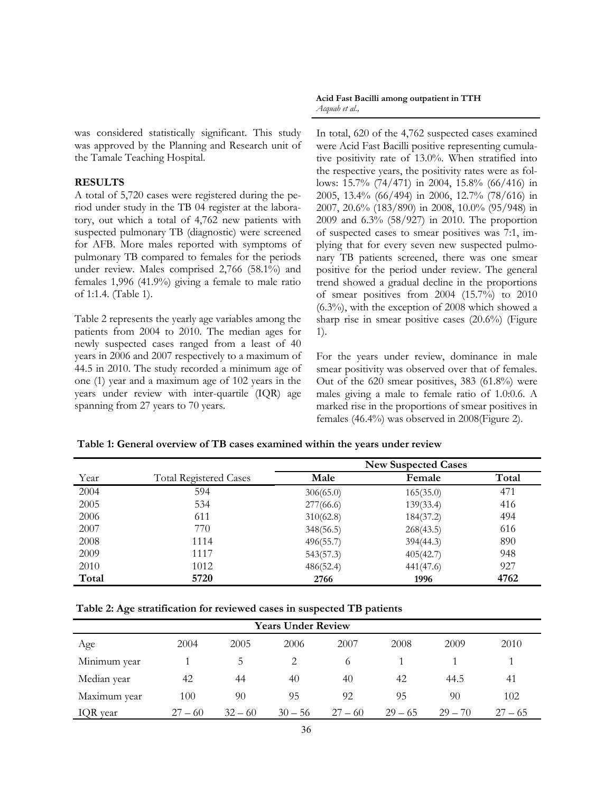was considered statistically significant. This study was approved by the Planning and Research unit of the Tamale Teaching Hospital.

## **RESULTS**

A total of 5,720 cases were registered during the period under study in the TB 04 register at the laboratory, out which a total of 4,762 new patients with suspected pulmonary TB (diagnostic) were screened for AFB. More males reported with symptoms of pulmonary TB compared to females for the periods under review. Males comprised 2,766 (58.1%) and females 1,996 (41.9%) giving a female to male ratio of 1:1.4. (Table 1).

Table 2 represents the yearly age variables among the patients from 2004 to 2010. The median ages for newly suspected cases ranged from a least of 40 years in 2006 and 2007 respectively to a maximum of 44.5 in 2010. The study recorded a minimum age of one (1) year and a maximum age of 102 years in the years under review with inter-quartile (IQR) age spanning from 27 years to 70 years.

#### **Acid Fast Bacilli among outpatient in TTH**  *Acquah et al.,*

In total, 620 of the 4,762 suspected cases examined were Acid Fast Bacilli positive representing cumulative positivity rate of 13.0%. When stratified into the respective years, the positivity rates were as follows: 15.7% (74/471) in 2004, 15.8% (66/416) in 2005, 13.4% (66/494) in 2006, 12.7% (78/616) in 2007, 20.6% (183/890) in 2008, 10.0% (95/948) in 2009 and 6.3% (58/927) in 2010. The proportion of suspected cases to smear positives was 7:1, implying that for every seven new suspected pulmonary TB patients screened, there was one smear positive for the period under review. The general trend showed a gradual decline in the proportions of smear positives from 2004 (15.7%) to 2010 (6.3%), with the exception of 2008 which showed a sharp rise in smear positive cases (20.6%) (Figure 1).

For the years under review, dominance in male smear positivity was observed over that of females. Out of the 620 smear positives, 383 (61.8%) were males giving a male to female ratio of 1.0:0.6. A marked rise in the proportions of smear positives in females (46.4%) was observed in 2008(Figure 2).

#### **Table 1: General overview of TB cases examined within the years under review**

|       |                               | <b>New Suspected Cases</b> |           |       |  |
|-------|-------------------------------|----------------------------|-----------|-------|--|
| Year  | <b>Total Registered Cases</b> | Male                       | Female    | Total |  |
| 2004  | 594                           | 306(65.0)                  | 165(35.0) | 471   |  |
| 2005  | 534                           | 277(66.6)                  | 139(33.4) | 416   |  |
| 2006  | 611                           | 310(62.8)                  | 184(37.2) | 494   |  |
| 2007  | 770                           | 348(56.5)                  | 268(43.5) | 616   |  |
| 2008  | 1114                          | 496(55.7)                  | 394(44.3) | 890   |  |
| 2009  | 1117                          | 543(57.3)                  | 405(42.7) | 948   |  |
| 2010  | 1012                          | 486(52.4)                  | 441(47.6) | 927   |  |
| Total | 5720                          | 2766                       | 1996      | 4762  |  |

| Table 2: Age stratification for reviewed cases in suspected TB patients |  |  |
|-------------------------------------------------------------------------|--|--|
|                                                                         |  |  |

| <b>Years Under Review</b> |           |           |           |           |           |           |           |  |  |  |
|---------------------------|-----------|-----------|-----------|-----------|-----------|-----------|-----------|--|--|--|
| Age                       | 2004      | 2005      | 2006      | 2007      | 2008      | 2009      | 2010      |  |  |  |
| Minimum year              |           | 5.        |           | 6         |           |           |           |  |  |  |
| Median year               | 42        | 44        | 40        | 40        | 42        | 44.5      | 41        |  |  |  |
| Maximum year              | 100       | 90        | 95        | 92        | 95        | 90        | 102       |  |  |  |
| IQR year                  | $27 - 60$ | $32 - 60$ | $30 - 56$ | $27 - 60$ | $29 - 65$ | $29 - 70$ | $27 - 65$ |  |  |  |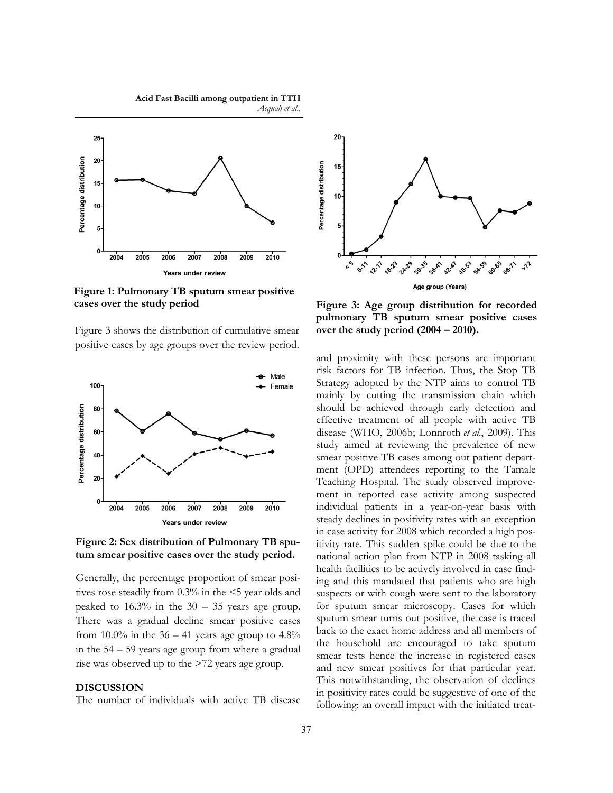**Acid Fast Bacilli among outpatient in TTH**  *Acquah et al.,*



**Figure 1: Pulmonary TB sputum smear positive cases over the study period** 

Figure 3 shows the distribution of cumulative smear positive cases by age groups over the review period.



**Figure 2: Sex distribution of Pulmonary TB sputum smear positive cases over the study period.**

Generally, the percentage proportion of smear positives rose steadily from 0.3% in the <5 year olds and peaked to  $16.3\%$  in the  $30 - 35$  years age group. There was a gradual decline smear positive cases from 10.0% in the  $36 - 41$  years age group to  $4.8\%$ in the 54 – 59 years age group from where a gradual rise was observed up to the >72 years age group.

#### **DISCUSSION**

The number of individuals with active TB disease



**Figure 3: Age group distribution for recorded pulmonary TB sputum smear positive cases over the study period (2004 – 2010).**

and proximity with these persons are important risk factors for TB infection. Thus, the Stop TB Strategy adopted by the NTP aims to control TB mainly by cutting the transmission chain which should be achieved through early detection and effective treatment of all people with active TB disease (WHO, 2006b; Lonnroth *et al.*, 2009). This study aimed at reviewing the prevalence of new smear positive TB cases among out patient department (OPD) attendees reporting to the Tamale Teaching Hospital. The study observed improvement in reported case activity among suspected individual patients in a year-on-year basis with steady declines in positivity rates with an exception in case activity for 2008 which recorded a high positivity rate. This sudden spike could be due to the national action plan from NTP in 2008 tasking all health facilities to be actively involved in case finding and this mandated that patients who are high suspects or with cough were sent to the laboratory for sputum smear microscopy. Cases for which sputum smear turns out positive, the case is traced back to the exact home address and all members of the household are encouraged to take sputum smear tests hence the increase in registered cases and new smear positives for that particular year. This notwithstanding, the observation of declines in positivity rates could be suggestive of one of the following: an overall impact with the initiated treat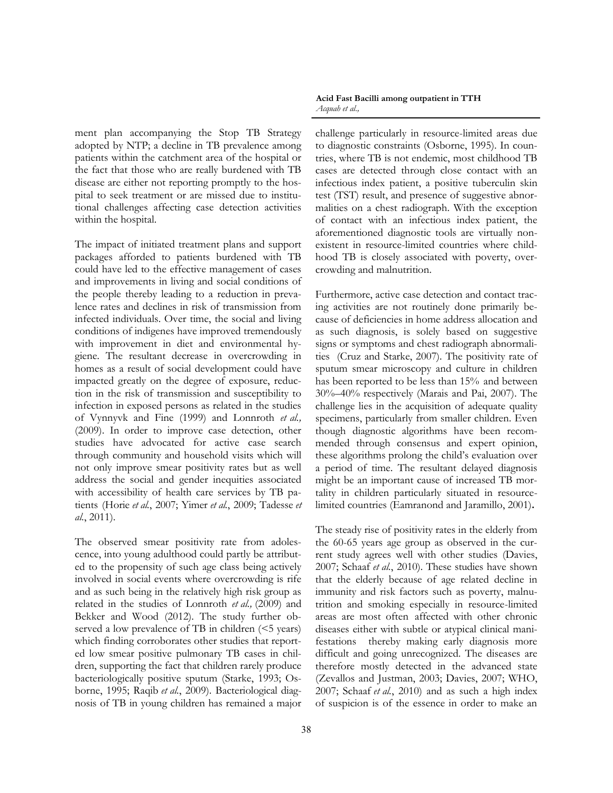ment plan accompanying the Stop TB Strategy adopted by NTP; a decline in TB prevalence among patients within the catchment area of the hospital or the fact that those who are really burdened with TB disease are either not reporting promptly to the hospital to seek treatment or are missed due to institutional challenges affecting case detection activities within the hospital.

The impact of initiated treatment plans and support packages afforded to patients burdened with TB could have led to the effective management of cases and improvements in living and social conditions of the people thereby leading to a reduction in prevalence rates and declines in risk of transmission from infected individuals. Over time, the social and living conditions of indigenes have improved tremendously with improvement in diet and environmental hygiene. The resultant decrease in overcrowding in homes as a result of social development could have impacted greatly on the degree of exposure, reduction in the risk of transmission and susceptibility to infection in exposed persons as related in the studies of Vynnyvk and Fine (1999) and Lonnroth *et al.,*  (2009). In order to improve case detection, other studies have advocated for active case search through community and household visits which will not only improve smear positivity rates but as well address the social and gender inequities associated with accessibility of health care services by TB patients (Horie *et al.*, 2007; Yimer *et al.*, 2009; Tadesse *et al.*, 2011).

The observed smear positivity rate from adolescence, into young adulthood could partly be attributed to the propensity of such age class being actively involved in social events where overcrowding is rife and as such being in the relatively high risk group as related in the studies of Lonnroth *et al.,* (2009) and Bekker and Wood (2012). The study further observed a low prevalence of TB in children  $($  5 years) which finding corroborates other studies that reported low smear positive pulmonary TB cases in children, supporting the fact that children rarely produce bacteriologically positive sputum (Starke, 1993; Osborne, 1995; Raqib *et al.*, 2009). Bacteriological diagnosis of TB in young children has remained a major **Acid Fast Bacilli among outpatient in TTH**  *Acquah et al.,*

challenge particularly in resource-limited areas due to diagnostic constraints (Osborne, 1995). In countries, where TB is not endemic, most childhood TB cases are detected through close contact with an infectious index patient, a positive tuberculin skin test (TST) result, and presence of suggestive abnormalities on a chest radiograph. With the exception of contact with an infectious index patient, the aforementioned diagnostic tools are virtually nonexistent in resource-limited countries where childhood TB is closely associated with poverty, overcrowding and malnutrition.

Furthermore, active case detection and contact tracing activities are not routinely done primarily because of deficiencies in home address allocation and as such diagnosis, is solely based on suggestive signs or symptoms and chest radiograph abnormalities (Cruz and Starke, 2007). The positivity rate of sputum smear microscopy and culture in children has been reported to be less than 15% and between 30%–40% respectively (Marais and Pai, 2007). The challenge lies in the acquisition of adequate quality specimens, particularly from smaller children. Even though diagnostic algorithms have been recommended through consensus and expert opinion, these algorithms prolong the child"s evaluation over a period of time. The resultant delayed diagnosis might be an important cause of increased TB mortality in children particularly situated in resourcelimited countries (Eamranond and Jaramillo, 2001)**.** 

The steady rise of positivity rates in the elderly from the 60-65 years age group as observed in the current study agrees well with other studies (Davies, 2007; Schaaf *et al.*, 2010). These studies have shown that the elderly because of age related decline in immunity and risk factors such as poverty, malnutrition and smoking especially in resource-limited areas are most often affected with other chronic diseases either with subtle or atypical clinical manifestations thereby making early diagnosis more difficult and going unrecognized. The diseases are therefore mostly detected in the advanced state (Zevallos and Justman, 2003; Davies, 2007; WHO, 2007; Schaaf *et al.*, 2010) and as such a high index of suspicion is of the essence in order to make an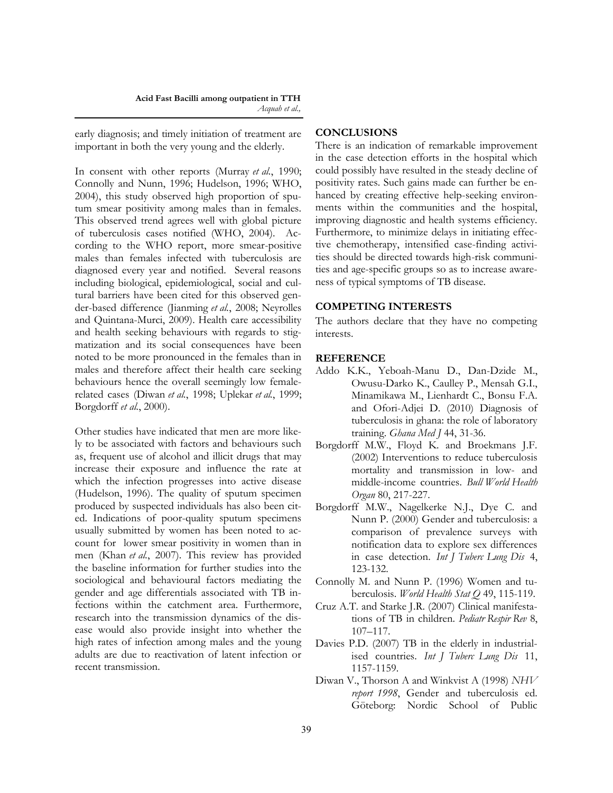early diagnosis; and timely initiation of treatment are important in both the very young and the elderly.

In consent with other reports (Murray *et al.*, 1990; Connolly and Nunn, 1996; Hudelson, 1996; WHO, 2004), this study observed high proportion of sputum smear positivity among males than in females. This observed trend agrees well with global picture of tuberculosis cases notified (WHO, 2004). According to the WHO report, more smear-positive males than females infected with tuberculosis are diagnosed every year and notified. Several reasons including biological, epidemiological, social and cultural barriers have been cited for this observed gender-based difference (Jianming *et al.*, 2008; Neyrolles and Quintana-Murci, 2009). Health care accessibility and health seeking behaviours with regards to stigmatization and its social consequences have been noted to be more pronounced in the females than in males and therefore affect their health care seeking behaviours hence the overall seemingly low femalerelated cases (Diwan *et al.*, 1998; Uplekar *et al.*, 1999; Borgdorff *et al.*, 2000).

Other studies have indicated that men are more likely to be associated with factors and behaviours such as, frequent use of alcohol and illicit drugs that may increase their exposure and influence the rate at which the infection progresses into active disease (Hudelson, 1996). The quality of sputum specimen produced by suspected individuals has also been cited. Indications of poor-quality sputum specimens usually submitted by women has been noted to account for lower smear positivity in women than in men (Khan *et al.*, 2007). This review has provided the baseline information for further studies into the sociological and behavioural factors mediating the gender and age differentials associated with TB infections within the catchment area. Furthermore, research into the transmission dynamics of the disease would also provide insight into whether the high rates of infection among males and the young adults are due to reactivation of latent infection or recent transmission.

## **CONCLUSIONS**

There is an indication of remarkable improvement in the case detection efforts in the hospital which could possibly have resulted in the steady decline of positivity rates. Such gains made can further be enhanced by creating effective help-seeking environments within the communities and the hospital, improving diagnostic and health systems efficiency. Furthermore, to minimize delays in initiating effective chemotherapy, intensified case-finding activities should be directed towards high-risk communities and age-specific groups so as to increase awareness of typical symptoms of TB disease.

#### **COMPETING INTERESTS**

The authors declare that they have no competing interests.

#### **REFERENCE**

- Addo K.K., Yeboah-Manu D., Dan-Dzide M., Owusu-Darko K., Caulley P., Mensah G.I., Minamikawa M., Lienhardt C., Bonsu F.A. and Ofori-Adjei D. (2010) Diagnosis of tuberculosis in ghana: the role of laboratory training. *Ghana Med J* 44, 31-36.
- Borgdorff M.W., Floyd K. and Broekmans J.F. (2002) Interventions to reduce tuberculosis mortality and transmission in low- and middle-income countries. *Bull World Health Organ* 80, 217-227.
- Borgdorff M.W., Nagelkerke N.J., Dye C. and Nunn P. (2000) Gender and tuberculosis: a comparison of prevalence surveys with notification data to explore sex differences in case detection. *Int J Tuberc Lung Dis* 4, 123-132.
- Connolly M. and Nunn P. (1996) Women and tuberculosis. *World Health Stat Q* 49, 115-119.
- Cruz A.T. and Starke J.R. (2007) Clinical manifestations of TB in children. *Pediatr Respir Rev* 8, 107–117.
- Davies P.D. (2007) TB in the elderly in industrialised countries. *Int J Tuberc Lung Dis* 11, 1157-1159.
- Diwan V., Thorson A and Winkvist A (1998) *NHV report 1998*, Gender and tuberculosis ed. Göteborg: Nordic School of Public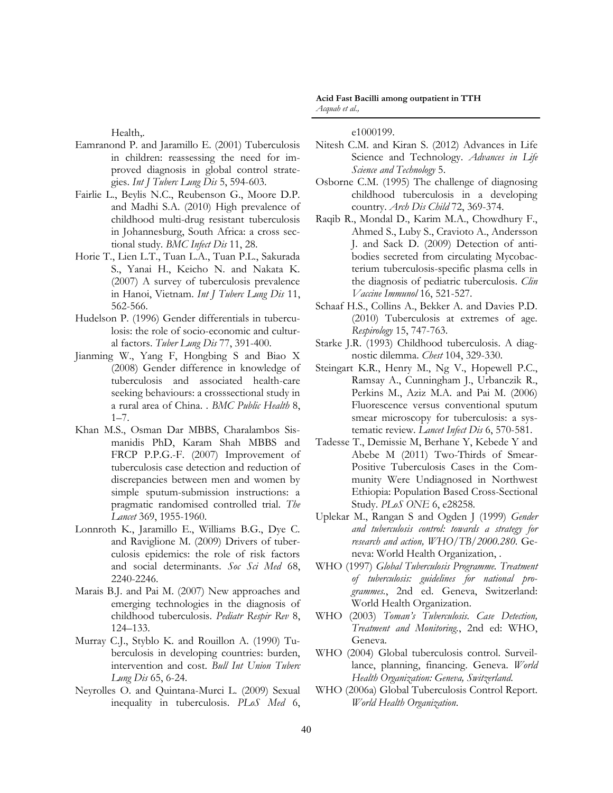Health,.

- Eamranond P. and Jaramillo E. (2001) Tuberculosis in children: reassessing the need for improved diagnosis in global control strategies. *Int J Tuberc Lung Dis* 5, 594-603.
- Fairlie L., Beylis N.C., Reubenson G., Moore D.P. and Madhi S.A. (2010) High prevalence of childhood multi-drug resistant tuberculosis in Johannesburg, South Africa: a cross sectional study. *BMC Infect Dis* 11, 28.
- Horie T., Lien L.T., Tuan L.A., Tuan P.L., Sakurada S., Yanai H., Keicho N. and Nakata K. (2007) A survey of tuberculosis prevalence in Hanoi, Vietnam. *Int J Tuberc Lung Dis* 11, 562-566.
- Hudelson P. (1996) Gender differentials in tuberculosis: the role of socio-economic and cultural factors. *Tuber Lung Dis* 77, 391-400.
- Jianming W., Yang F, Hongbing S and Biao X (2008) Gender difference in knowledge of tuberculosis and associated health-care seeking behaviours: a crosssectional study in a rural area of China. . *BMC Public Health* 8, 1–7.
- Khan M.S., Osman Dar MBBS, Charalambos Sismanidis PhD, Karam Shah MBBS and FRCP P.P.G.-F. (2007) Improvement of tuberculosis case detection and reduction of discrepancies between men and women by simple sputum-submission instructions: a pragmatic randomised controlled trial. *The Lancet* 369, 1955-1960.
- Lonnroth K., Jaramillo E., Williams B.G., Dye C. and Raviglione M. (2009) Drivers of tuberculosis epidemics: the role of risk factors and social determinants. *Soc Sci Med* 68, 2240-2246.
- Marais B.J. and Pai M. (2007) New approaches and emerging technologies in the diagnosis of childhood tuberculosis. *Pediatr Respir Rev* 8, 124–133.
- Murray C.J., Styblo K. and Rouillon A. (1990) Tuberculosis in developing countries: burden, intervention and cost. *Bull Int Union Tuberc Lung Dis* 65, 6-24.
- Neyrolles O. and Quintana-Murci L. (2009) Sexual inequality in tuberculosis. *PLoS Med* 6,

e1000199.

- Nitesh C.M. and Kiran S. (2012) Advances in Life Science and Technology. *Advances in Life Science and Technology* 5.
- Osborne C.M. (1995) The challenge of diagnosing childhood tuberculosis in a developing country. *Arch Dis Child* 72, 369-374.
- Raqib R., Mondal D., Karim M.A., Chowdhury F., Ahmed S., Luby S., Cravioto A., Andersson J. and Sack D. (2009) Detection of antibodies secreted from circulating Mycobacterium tuberculosis-specific plasma cells in the diagnosis of pediatric tuberculosis. *Clin Vaccine Immunol* 16, 521-527.
- Schaaf H.S., Collins A., Bekker A. and Davies P.D. (2010) Tuberculosis at extremes of age. *Respirology* 15, 747-763.
- Starke J.R. (1993) Childhood tuberculosis. A diagnostic dilemma. *Chest* 104, 329-330.
- Steingart K.R., Henry M., Ng V., Hopewell P.C., Ramsay A., Cunningham J., Urbanczik R., Perkins M., Aziz M.A. and Pai M. (2006) Fluorescence versus conventional sputum smear microscopy for tuberculosis: a systematic review. *Lancet Infect Dis* 6, 570-581.
- Tadesse T., Demissie M, Berhane Y, Kebede Y and Abebe M (2011) Two-Thirds of Smear-Positive Tuberculosis Cases in the Community Were Undiagnosed in Northwest Ethiopia: Population Based Cross-Sectional Study. *PLoS ONE* 6, e28258.
- Uplekar M., Rangan S and Ogden J (1999) *Gender and tuberculosis control: towards a strategy for research and action, WHO/TB/2000.280.* Geneva: World Health Organization, .
- WHO (1997) *Global Tuberculosis Programme. Treatment of tuberculosis: guidelines for national programmes.*, 2nd ed. Geneva, Switzerland: World Health Organization.
- WHO (2003) *Toman's Tuberculosis. Case Detection, Treatment and Monitoring.*, 2nd ed: WHO, Geneva.
- WHO (2004) Global tuberculosis control. Surveillance, planning, financing. Geneva. *World Health Organization: Geneva, Switzerland*.
- WHO (2006a) Global Tuberculosis Control Report. *World Health Organization*.